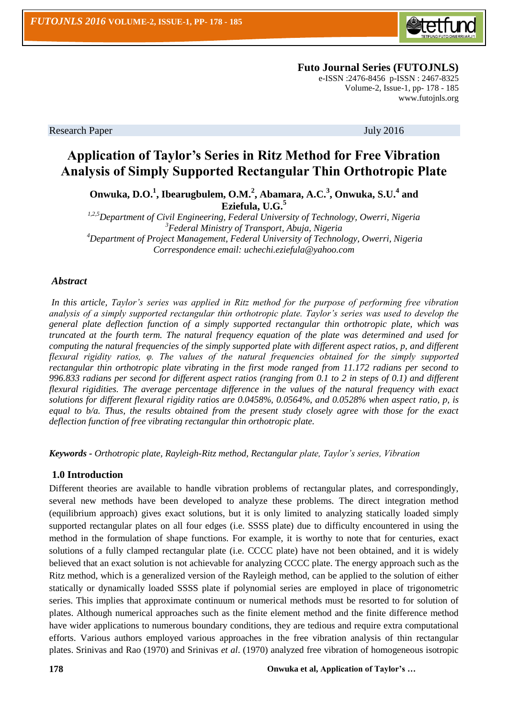

 **Futo Journal Series (FUTOJNLS)**

e-ISSN :2476-8456 p-ISSN : 2467-8325 Volume-2, Issue-1, pp- 178 - 185 [www.futojnls.org](http://www.futojnls.org/)

Research Paper July 2016

# **Application of Taylor's Series in Ritz Method for Free Vibration Analysis of Simply Supported Rectangular Thin Orthotropic Plate**

**Onwuka, D.O.<sup>1</sup> , Ibearugbulem, O.M.<sup>2</sup> , Abamara, A.C.<sup>3</sup> , Onwuka, S.U.<sup>4</sup> and Eziefula, U.G.<sup>5</sup>**

*1,2,5Department of Civil Engineering, Federal University of Technology, Owerri, Nigeria <sup>3</sup>Federal Ministry of Transport, Abuja, Nigeria <sup>4</sup>Department of Project Management, Federal University of Technology, Owerri, Nigeria Correspondence email: uchechi.eziefula@yahoo.com*

# *Abstract*

*In this article, Taylor's series was applied in Ritz method for the purpose of performing free vibration analysis of a simply supported rectangular thin orthotropic plate. Taylor's series was used to develop the general plate deflection function of a simply supported rectangular thin orthotropic plate, which was truncated at the fourth term. The natural frequency equation of the plate was determined and used for computing the natural frequencies of the simply supported plate with different aspect ratios, p, and different flexural rigidity ratios, φ. The values of the natural frequencies obtained for the simply supported rectangular thin orthotropic plate vibrating in the first mode ranged from 11.172 radians per second to 996.833 radians per second for different aspect ratios (ranging from 0.1 to 2 in steps of 0.1) and different flexural rigidities. The average percentage difference in the values of the natural frequency with exact solutions for different flexural rigidity ratios are 0.0458%, 0.0564%, and 0.0528% when aspect ratio, p, is equal to b/a. Thus, the results obtained from the present study closely agree with those for the exact deflection function of free vibrating rectangular thin orthotropic plate.* 

*Keywords - Orthotropic plate, Rayleigh-Ritz method, Rectangular plate, Taylor's series, Vibration*

# **1.0 Introduction**

Different theories are available to handle vibration problems of rectangular plates, and correspondingly, several new methods have been developed to analyze these problems. The direct integration method (equilibrium approach) gives exact solutions, but it is only limited to analyzing statically loaded simply supported rectangular plates on all four edges (i.e. SSSS plate) due to difficulty encountered in using the method in the formulation of shape functions. For example, it is worthy to note that for centuries, exact solutions of a fully clamped rectangular plate (i.e. CCCC plate) have not been obtained, and it is widely believed that an exact solution is not achievable for analyzing CCCC plate. The energy approach such as the Ritz method, which is a generalized version of the Rayleigh method, can be applied to the solution of either statically or dynamically loaded SSSS plate if polynomial series are employed in place of trigonometric series. This implies that approximate continuum or numerical methods must be resorted to for solution of plates. Although numerical approaches such as the finite element method and the finite difference method have wider applications to numerous boundary conditions, they are tedious and require extra computational efforts. Various authors employed various approaches in the free vibration analysis of thin rectangular plates. Srinivas and Rao (1970) and Srinivas *et al*. (1970) analyzed free vibration of homogeneous isotropic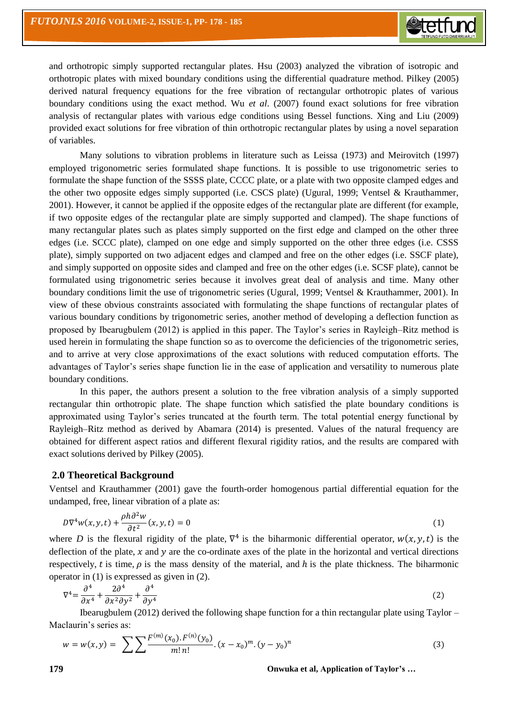and orthotropic simply supported rectangular plates. Hsu (2003) analyzed the vibration of isotropic and orthotropic plates with mixed boundary conditions using the differential quadrature method. Pilkey (2005) derived natural frequency equations for the free vibration of rectangular orthotropic plates of various boundary conditions using the exact method. Wu *et al*. (2007) found exact solutions for free vibration analysis of rectangular plates with various edge conditions using Bessel functions. Xing and Liu (2009) provided exact solutions for free vibration of thin orthotropic rectangular plates by using a novel separation of variables.

Many solutions to vibration problems in literature such as Leissa (1973) and Meirovitch (1997) employed trigonometric series formulated shape functions. It is possible to use trigonometric series to formulate the shape function of the SSSS plate, CCCC plate, or a plate with two opposite clamped edges and the other two opposite edges simply supported (i.e. CSCS plate) (Ugural, 1999; Ventsel & Krauthammer, 2001). However, it cannot be applied if the opposite edges of the rectangular plate are different (for example, if two opposite edges of the rectangular plate are simply supported and clamped). The shape functions of many rectangular plates such as plates simply supported on the first edge and clamped on the other three edges (i.e. SCCC plate), clamped on one edge and simply supported on the other three edges (i.e. CSSS plate), simply supported on two adjacent edges and clamped and free on the other edges (i.e. SSCF plate), and simply supported on opposite sides and clamped and free on the other edges (i.e. SCSF plate), cannot be formulated using trigonometric series because it involves great deal of analysis and time. Many other boundary conditions limit the use of trigonometric series (Ugural, 1999; Ventsel & Krauthammer, 2001). In view of these obvious constraints associated with formulating the shape functions of rectangular plates of various boundary conditions by trigonometric series, another method of developing a deflection function as proposed by Ibearugbulem (2012) is applied in this paper. The Taylor's series in Rayleigh–Ritz method is used herein in formulating the shape function so as to overcome the deficiencies of the trigonometric series, and to arrive at very close approximations of the exact solutions with reduced computation efforts. The advantages of Taylor's series shape function lie in the ease of application and versatility to numerous plate boundary conditions.

In this paper, the authors present a solution to the free vibration analysis of a simply supported rectangular thin orthotropic plate. The shape function which satisfied the plate boundary conditions is approximated using Taylor's series truncated at the fourth term. The total potential energy functional by Rayleigh–Ritz method as derived by Abamara (2014) is presented. Values of the natural frequency are obtained for different aspect ratios and different flexural rigidity ratios, and the results are compared with exact solutions derived by Pilkey (2005).

# **2.0 Theoretical Background**

Ventsel and Krauthammer (2001) gave the fourth-order homogenous partial differential equation for the undamped, free, linear vibration of a plate as:

$$
D\nabla^4 w(x, y, t) + \frac{\rho h \partial^2 w}{\partial t^2}(x, y, t) = 0
$$
\n(1)

where D is the flexural rigidity of the plate,  $\nabla^4$  is the biharmonic differential operator,  $w(x, y, t)$  is the deflection of the plate, x and y are the co-ordinate axes of the plate in the horizontal and vertical directions respectively, t is time,  $\rho$  is the mass density of the material, and h is the plate thickness. The biharmonic operator in (1) is expressed as given in (2).

$$
\nabla^4 = \frac{\partial^4}{\partial x^4} + \frac{2\partial^4}{\partial x^2 \partial y^2} + \frac{\partial^4}{\partial y^4} \tag{2}
$$

Ibearugbulem (2012) derived the following shape function for a thin rectangular plate using Taylor – Maclaurin's series as:

$$
w = w(x, y) = \sum \sum \frac{F^{(m)}(x_0) \cdot F^{(n)}(y_0)}{m! \, n!} \cdot (x - x_0)^m \cdot (y - y_0)^n \tag{3}
$$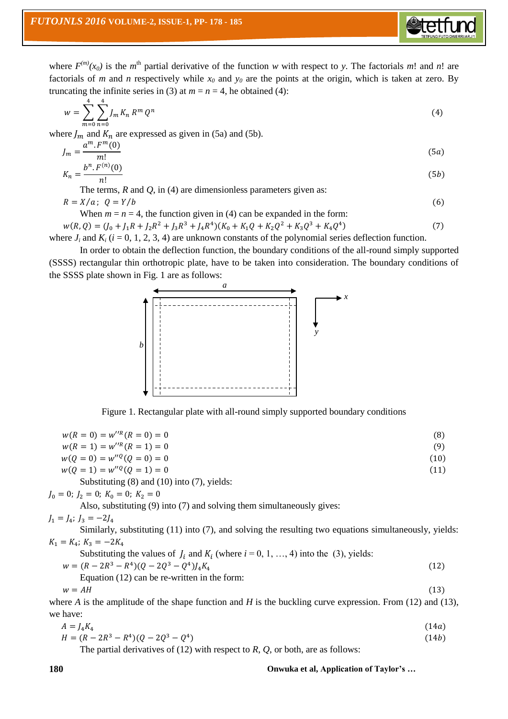where  $F^{(m)}(x_0)$  is the  $m^{\text{th}}$  partial derivative of the function w with respect to y. The factorials m! and n! are factorials of *m* and *n* respectively while  $x_0$  and  $y_0$  are the points at the origin, which is taken at zero. By truncating the infinite series in (3) at  $m = n = 4$ , he obtained (4):

$$
w = \sum_{m=0}^{4} \sum_{n=0}^{4} J_m K_n R^m Q^n
$$
 (4)

where  $J_m$  and  $K_n$  are expressed as given in (5a) and (5b).

$$
J_m = \frac{a^m \cdot F^m(0)}{m!}
$$
(5a)  

$$
K_n = \frac{b^n \cdot F^{(n)}(0)}{(5b)}
$$

$$
n = \frac{n!}{n!}
$$

The terms, *R* and *Q*, in (4) are dimensionless parameters given as:

$$
R = X/a; \ Q = Y/b \tag{6}
$$

When  $m = n = 4$ , the function given in (4) can be expanded in the form:

 $w(R, Q) = (J_0 + J_1 R + J_2 R^2 + J_3 R^3 + J_4 R^4)(K_0 + K_1 Q + K_2 Q^2 + K_3 Q^3 + K_4 Q^4)$  $(7)$ where  $J_i$  and  $K_i$  ( $i = 0, 1, 2, 3, 4$ ) are unknown constants of the polynomial series deflection function.

In order to obtain the deflection function, the boundary conditions of the all-round simply supported (SSSS) rectangular thin orthotropic plate, have to be taken into consideration. The boundary conditions of the SSSS plate shown in Fig. 1 are as follows:



Figure 1. Rectangular plate with all-round simply supported boundary conditions

| $w(R = 0) = w''^{R}(R = 0) = 0$                                                                             | (8)  |
|-------------------------------------------------------------------------------------------------------------|------|
| $w(R = 1) = w''^{R}(R = 1) = 0$                                                                             | (9)  |
| $w(0 = 0) = w''^{(0)}(0 = 0) = 0$                                                                           | (10) |
| $w(0 = 1) = w''^{(0)}(0 = 1) = 0$                                                                           | (11) |
| Substituting $(8)$ and $(10)$ into $(7)$ , yields:                                                          |      |
| $I_0 = 0$ ; $I_2 = 0$ ; $K_0 = 0$ ; $K_2 = 0$                                                               |      |
| Also, substituting (9) into (7) and solving them simultaneously gives:                                      |      |
| $I_1 = I_4$ ; $I_3 = -2I_4$                                                                                 |      |
| Similarly, substituting $(11)$ into $(7)$ , and solving the resulting two equations simultaneously, yields: |      |
| $K_1 = K_4$ ; $K_2 = -2K_4$                                                                                 |      |
| Substituting the values of $J_i$ and $K_i$ (where $i = 0, 1, , 4$ ) into the (3), yields:                   |      |
| $W = (R - 2R^3 - R^4)(0 - 2O^3 - O^4)I_4K_4$                                                                | (12) |
| Equation $(12)$ can be re-written in the form:                                                              |      |
| $w = AH$                                                                                                    | (13) |

where *A* is the amplitude of the shape function and *H* is the buckling curve expression. From (12) and (13), we have:

$$
A = J_4 K_4
$$
  
\n
$$
H = (R - 2R^3 - R^4)(Q - 2Q^3 - Q^4)
$$
\n(14*a*)

The partial derivatives of (12) with respect to *R*, *Q*, or both, are as follows: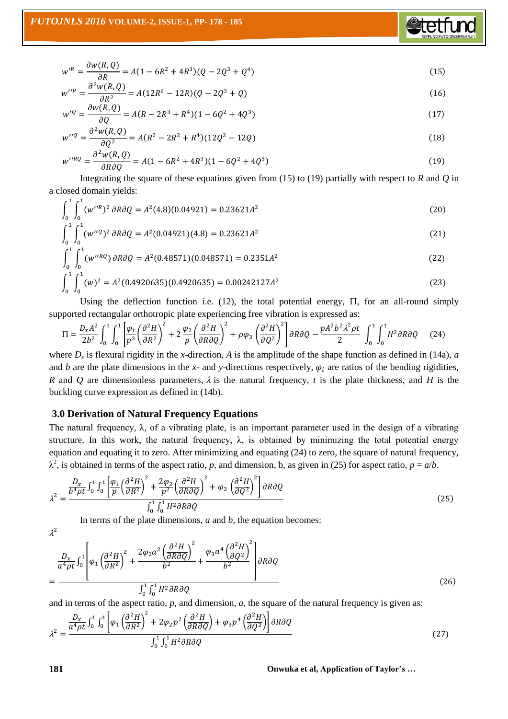

**Stetft** 

$$
w''^{R} = \frac{\partial^{2} w(R, Q)}{\partial R^{2}} = A(12R^{2} - 12R)(Q - 2Q^{3} + Q)
$$
\n(16)

$$
w'^{Q} = \frac{\partial w(R, Q)}{\partial Q} = A(R - 2R^{3} + R^{4})(1 - 6Q^{2} + 4Q^{3})
$$
\n(17)

$$
w''^{Q} = \frac{\partial^{2} w(R, Q)}{\partial Q^{2}} = A(R^{2} - 2R^{2} + R^{4})(12Q^{2} - 12Q)
$$
\n(18)

$$
w''^{RQ} = \frac{\partial^2 w(R, Q)}{\partial R \partial Q} = A(1 - 6R^2 + 4R^3)(1 - 6Q^2 + 4Q^3)
$$
\n(19)

Integrating the square of these equations given from (15) to (19) partially with respect to *R* and *Q* in a closed domain yields:

$$
\int_0^1 \int_0^1 (w''^R)^2 \, \partial R \partial Q = A^2 (4.8)(0.04921) = 0.23621 A^2 \tag{20}
$$

$$
\int_0^1 \int_0^1 (w''^q)^2 \,\partial R \partial Q = A^2 (0.04921)(4.8) = 0.23621 A^2 \tag{21}
$$

$$
\int_{0}^{1} \int_{0}^{1} (w''^{RQ}) \, \partial R \partial Q = A^{2} (0.48571)(0.048571) = 0.2351A^{2}
$$
\n(22)

$$
\int_0^1 \int_0^1 (w)^2 = A^2 (0.4920635)(0.4920635) = 0.00242127A^2
$$
\n(23)

Using the deflection function i.e.  $(12)$ , the total potential energy,  $\Pi$ , for an all-round simply supported rectangular orthotropic plate experiencing free vibration is expressed as:

$$
\Pi = \frac{D_x A^2}{2b^2} \int_0^1 \int_0^1 \left[ \frac{\varphi_1}{p^3} \left( \frac{\partial^2 H}{\partial R^2} \right)^2 + 2 \frac{\varphi_2}{p} \left( \frac{\partial^2 H}{\partial R \partial Q} \right)^2 + \rho \varphi_3 \left( \frac{\partial^2 H}{\partial Q^2} \right)^2 \right] \partial R \partial Q - \frac{p A^2 b^2 \lambda^2 \rho t}{2} \int_0^1 \int_0^1 H^2 \partial R \partial Q \quad (24)
$$

where  $D_x$  is flexural rigidity in the *x*-direction, A is the amplitude of the shape function as defined in (14a), *a* and *b* are the plate dimensions in the *x*- and *y*-directions respectively,  $\varphi_i$  are ratios of the bending rigidities, *R* and *Q* are dimensionless parameters,  $\lambda$  is the natural frequency, *t* is the plate thickness, and *H* is the buckling curve expression as defined in (14b).

#### **3.0 Derivation of Natural Frequency Equations**

The natural frequency,  $\lambda$ , of a vibrating plate, is an important parameter used in the design of a vibrating structure. In this work, the natural frequency,  $\lambda$ , is obtained by minimizing the total potential energy equation and equating it to zero. After minimizing and equating (24) to zero, the square of natural frequency,  $\lambda^2$ , is obtained in terms of the aspect ratio, *p*, and dimension, b, as given in (25) for aspect ratio,  $p = a/b$ .

$$
\lambda^2 = \frac{\frac{D_x}{b^4 \rho t} \int_0^1 \int_0^1 \left[ \frac{\varphi_1}{p} \left( \frac{\partial^2 H}{\partial R^2} \right)^2 + \frac{2\varphi_2}{p^2} \left( \frac{\partial^2 H}{\partial R \partial Q} \right)^2 + \varphi_3 \left( \frac{\partial^2 H}{\partial Q^2} \right)^2 \right] \partial R \partial Q}{\int_0^1 \int_0^1 H^2 \partial R \partial Q}
$$
(25)

In terms of the plate dimensions, *a* and *b*, the equation becomes:

$$
=\frac{\frac{D_x}{a^4 \rho t} \int_0^1 \left[\varphi_1 \left(\frac{\partial^2 H}{\partial R^2}\right)^2 + \frac{2\varphi_2 a^2 \left(\frac{\partial^2 H}{\partial R \partial Q}\right)^2}{b^2} + \frac{\varphi_3 a^4 \left(\frac{\partial^2 H}{\partial Q^2}\right)^2}{b^2}\right] \partial R \partial Q}{\int_0^1 \int_0^1 H^2 \partial R \partial Q}
$$
(26)

and in terms of the aspect ratio, *p*, and dimension, *a*, the square of the natural frequency is given as:

$$
\lambda^2 = \frac{\frac{D_x}{a^4 \rho t} \int_0^1 \int_0^1 \left[ \varphi_1 \left( \frac{\partial^2 H}{\partial R^2} \right)^2 + 2 \varphi_2 p^2 \left( \frac{\partial^2 H}{\partial R \partial Q} \right) + \varphi_3 p^4 \left( \frac{\partial^2 H}{\partial Q^2} \right) \right] \partial R \partial Q}{\int_0^1 \int_0^1 H^2 \partial R \partial Q}
$$
(27)

**181 Onwuka et al, Application of Taylor's …**

 $\lambda^2$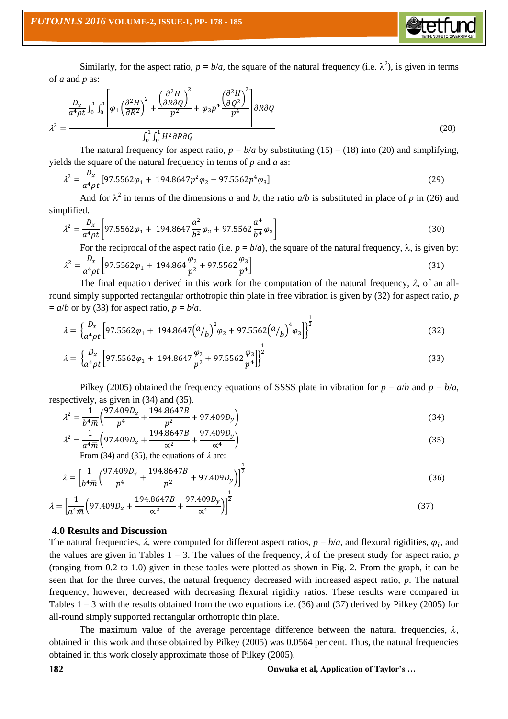Similarly, for the aspect ratio,  $p = b/a$ , the square of the natural frequency (i.e.  $\lambda^2$ ), is given in terms of *a* and *p* as:

 $\triangle$ tetfu

$$
\lambda^2 = \frac{\frac{D_x}{a^4 \rho t} \int_0^1 \int_0^1 \left( \frac{\partial^2 H}{\partial R^2} \right)^2 + \left( \frac{\partial^2 H}{\partial R \partial Q} \right)^2}{\int_0^1 \int_0^1 H^2 \partial R \partial Q} + \varphi_3 p^4 \frac{\left( \frac{\partial^2 H}{\partial Q^2} \right)^2}{p^4} \right) \partial R \partial Q \tag{28}
$$

The natural frequency for aspect ratio,  $p = b/a$  by substituting (15) – (18) into (20) and simplifying, yields the square of the natural frequency in terms of *p* and *a* as:

$$
\lambda^2 = \frac{D_x}{a^4 \rho t} [97.5562 \varphi_1 + 194.8647 p^2 \varphi_2 + 97.5562 p^4 \varphi_3]
$$
(29)

And for  $\lambda^2$  in terms of the dimensions *a* and *b*, the ratio *a*/*b* is substituted in place of *p* in (26) and simplified.

$$
\lambda^2 = \frac{D_x}{a^4 \rho t} \left[ 97.5562 \varphi_1 + 194.8647 \frac{a^2}{b^2} \varphi_2 + 97.5562 \frac{a^4}{b^4} \varphi_3 \right]
$$
(30)

For the reciprocal of the aspect ratio (i.e.  $p = b/a$ ), the square of the natural frequency,  $\lambda$ , is given by:

$$
\lambda^2 = \frac{D_x}{a^4 \rho t} \left[ 97.5562 \varphi_1 + 194.864 \frac{\varphi_2}{p^2} + 97.5562 \frac{\varphi_3}{p^4} \right]
$$
(31)

The final equation derived in this work for the computation of the natural frequency,  $\lambda$ , of an allround simply supported rectangular orthotropic thin plate in free vibration is given by (32) for aspect ratio, *p*  $= a/b$  or by (33) for aspect ratio,  $p = b/a$ .

$$
\lambda = \left\{ \frac{D_x}{a^4 \rho t} \left[ 97.5562 \varphi_1 + 194.8647 \left( \frac{a}{b} \right)^2 \varphi_2 + 97.5562 \left( \frac{a}{b} \right)^4 \varphi_3 \right] \right\}^{\frac{1}{2}}
$$
(32)

$$
\lambda = \left\{ \frac{D_x}{a^4 \rho t} \left[ 97.5562 \varphi_1 + 194.8647 \frac{\varphi_2}{p^2} + 97.5562 \frac{\varphi_3}{p^4} \right] \right\}^{\frac{1}{2}}
$$
(33)

Pilkey (2005) obtained the frequency equations of SSSS plate in vibration for  $p = a/b$  and  $p = b/a$ , respectively, as given in (34) and (35).

$$
\lambda^2 = \frac{1}{b^4 \overline{m}} \left( \frac{97.409 D_x}{p^4} + \frac{194.8647 B}{p^2} + 97.409 D_y \right) \tag{34}
$$

$$
\lambda^2 = \frac{1}{a^4 \bar{m}} \left( 97.409 D_x + \frac{194.8647 B}{\alpha^2} + \frac{97.409 D_y}{\alpha^4} \right)
$$
(35)

From (34) and (35), the equations of  $\lambda$  are:

$$
\lambda = \left[\frac{1}{b^4 \overline{m}} \left(\frac{97.409 D_x}{p^4} + \frac{194.8647 B}{p^2} + 97.409 D_y\right)\right]^{\frac{1}{2}}
$$
(36)

$$
\lambda = \left[\frac{1}{a^4 \bar{m}} \left(97.409 D_x + \frac{194.8647 B}{\alpha^2} + \frac{97.409 D_y}{\alpha^4}\right)\right]^{\frac{1}{2}}
$$
(37)

# **4.0 Results and Discussion**

The natural frequencies,  $\lambda$ , were computed for different aspect ratios,  $p = b/a$ , and flexural rigidities,  $\varphi_i$ , and the values are given in Tables  $1 - 3$ . The values of the frequency,  $\lambda$  of the present study for aspect ratio, *p* (ranging from 0.2 to 1.0) given in these tables were plotted as shown in Fig. 2. From the graph, it can be seen that for the three curves, the natural frequency decreased with increased aspect ratio, *p*. The natural frequency, however, decreased with decreasing flexural rigidity ratios. These results were compared in Tables  $1 - 3$  with the results obtained from the two equations i.e. (36) and (37) derived by Pilkey (2005) for all-round simply supported rectangular orthotropic thin plate.

The maximum value of the average percentage difference between the natural frequencies,  $\lambda$ , obtained in this work and those obtained by Pilkey (2005) was 0.0564 per cent. Thus, the natural frequencies obtained in this work closely approximate those of Pilkey (2005).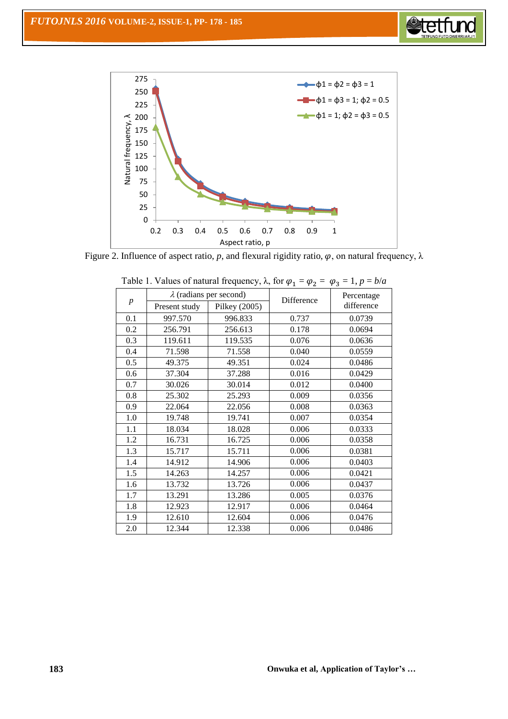



Figure 2. Influence of aspect ratio, p, and flexural rigidity ratio,  $\varphi$ , on natural frequency,  $\lambda$ 

| $\boldsymbol{p}$ |               | $\lambda$ (radians per second) | Difference | Percentage<br>difference |  |
|------------------|---------------|--------------------------------|------------|--------------------------|--|
|                  | Present study | Pilkey (2005)                  |            |                          |  |
| 0.1              | 997.570       | 996.833                        | 0.737      | 0.0739                   |  |
| 0.2              | 256.791       | 256.613                        | 0.178      | 0.0694                   |  |
| 0.3              | 119.611       | 119.535                        | 0.076      | 0.0636                   |  |
| 0.4              | 71.598        | 71.558                         | 0.040      | 0.0559                   |  |
| 0.5              | 49.375        | 49.351                         | 0.024      | 0.0486                   |  |
| 0.6              | 37.304        | 37.288                         | 0.016      | 0.0429                   |  |
| 0.7              | 30.026        | 30.014                         | 0.012      | 0.0400                   |  |
| 0.8              | 25.302        | 25.293                         | 0.009      | 0.0356                   |  |
| 0.9              | 22.064        | 22.056                         | 0.008      | 0.0363                   |  |
| 1.0              | 19.748        | 19.741                         | 0.007      | 0.0354                   |  |
| 1.1              | 18.034        | 18.028                         | 0.006      | 0.0333                   |  |
| 1.2              | 16.731        | 16.725                         | 0.006      | 0.0358                   |  |
| 1.3              | 15.717        | 15.711                         | 0.006      | 0.0381                   |  |
| 1.4              | 14.912        | 14.906                         | 0.006      | 0.0403                   |  |
| 1.5              | 14.263        | 14.257                         | 0.006      | 0.0421                   |  |
| 1.6              | 13.732        | 13.726                         | 0.006      | 0.0437                   |  |
| 1.7              | 13.291        | 13.286                         | 0.005      | 0.0376                   |  |
| 1.8              | 12.923        | 12.917                         | 0.006      | 0.0464                   |  |
| 1.9              | 12.610        | 12.604                         | 0.006      | 0.0476                   |  |
| 2.0              | 12.344        | 12.338                         | 0.006      | 0.0486                   |  |
|                  |               |                                |            |                          |  |

| Table 1. Values of natural frequency, $\lambda$ , for $\varphi_1 = \varphi_2 = \varphi_3 = 1$ , $p = b/a$ |  |
|-----------------------------------------------------------------------------------------------------------|--|
|-----------------------------------------------------------------------------------------------------------|--|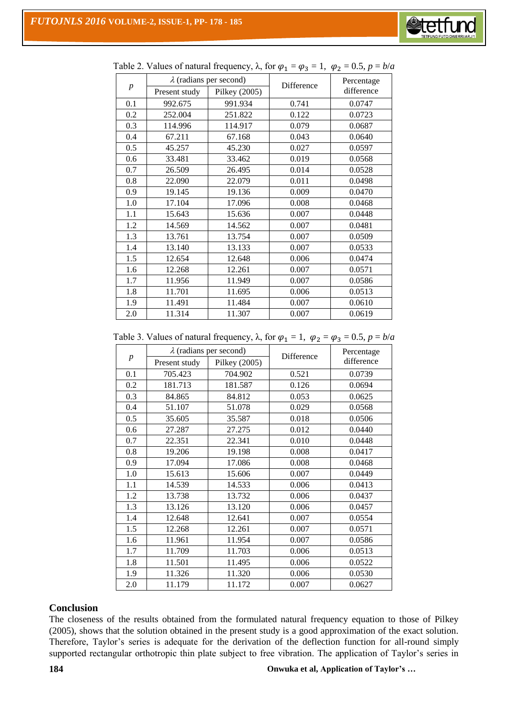

| $\boldsymbol{p}$ |               | $\lambda$ (radians per second) | Difference | Percentage<br>difference |  |
|------------------|---------------|--------------------------------|------------|--------------------------|--|
|                  | Present study | Pilkey (2005)                  |            |                          |  |
| 0.1              | 992.675       | 991.934                        | 0.741      | 0.0747                   |  |
| 0.2              | 252.004       | 251.822                        | 0.122      | 0.0723                   |  |
| 0.3              | 114.996       | 114.917                        | 0.079      | 0.0687                   |  |
| 0.4              | 67.211        | 67.168                         | 0.043      | 0.0640                   |  |
| 0.5              | 45.257        | 45.230                         | 0.027      | 0.0597                   |  |
| 0.6              | 33.481        | 33.462                         | 0.019      | 0.0568                   |  |
| 0.7              | 26.509        | 26.495                         | 0.014      | 0.0528                   |  |
| 0.8              | 22.090        | 22.079                         | 0.011      | 0.0498                   |  |
| 0.9              | 19.145        | 19.136                         | 0.009      | 0.0470                   |  |
| 1.0              | 17.104        | 17.096                         | 0.008      | 0.0468                   |  |
| 1.1              | 15.643        | 15.636                         | 0.007      | 0.0448                   |  |
| 1.2              | 14.569        | 14.562                         | 0.007      | 0.0481                   |  |
| 1.3              | 13.761        | 13.754                         | 0.007      | 0.0509                   |  |
| 1.4              | 13.140        | 13.133                         | 0.007      | 0.0533                   |  |
| 1.5              | 12.654        | 12.648                         | 0.006      | 0.0474                   |  |
| 1.6              | 12.268        | 12.261                         | 0.007      | 0.0571                   |  |
| 1.7              | 11.956        | 11.949                         | 0.007      | 0.0586                   |  |
| 1.8              | 11.701        | 11.695                         | 0.006      | 0.0513                   |  |
| 1.9              | 11.491        | 11.484                         | 0.007      | 0.0610                   |  |
| 2.0              | 11.314        | 11.307                         | 0.007      | 0.0619                   |  |

|  | Table 2. Values of natural frequency, $\lambda$ , for $\varphi_1 = \varphi_3 = 1$ , $\varphi_2 = 0.5$ , $p = b/a$ |  |  |
|--|-------------------------------------------------------------------------------------------------------------------|--|--|
|  |                                                                                                                   |  |  |

Table 3. Values of natural frequency,  $\lambda$ , for  $\varphi_1 = 1$ ,  $\varphi_2 = \varphi_3 = 0.5$ ,  $p = b/a$ 

| $\boldsymbol{p}$ |               | $\lambda$ (radians per second) | Difference | Percentage |  |
|------------------|---------------|--------------------------------|------------|------------|--|
|                  | Present study | Pilkey (2005)                  |            | difference |  |
| 0.1              | 705.423       | 704.902                        | 0.521      | 0.0739     |  |
| 0.2              | 181.713       | 181.587                        | 0.126      | 0.0694     |  |
| 0.3              | 84.865        | 84.812                         | 0.053      | 0.0625     |  |
| 0.4              | 51.107        | 51.078                         | 0.029      | 0.0568     |  |
| 0.5              | 35.605        | 35.587                         | 0.018      | 0.0506     |  |
| 0.6              | 27.287        | 27.275                         | 0.012      | 0.0440     |  |
| 0.7              | 22.351        | 22.341                         | 0.010      | 0.0448     |  |
| 0.8              | 19.206        | 19.198                         | 0.008      | 0.0417     |  |
| 0.9              | 17.094        | 17.086                         | 0.008      | 0.0468     |  |
| 1.0              | 15.613        | 15.606                         | 0.007      | 0.0449     |  |
| 1.1              | 14.539        | 14.533                         | 0.006      | 0.0413     |  |
| 1.2              | 13.738        | 13.732                         | 0.006      | 0.0437     |  |
| 1.3              | 13.126        | 13.120                         | 0.006      | 0.0457     |  |
| 1.4              | 12.648        | 12.641                         | 0.007      | 0.0554     |  |
| 1.5              | 12.268        | 12.261                         | 0.007      | 0.0571     |  |
| 1.6              | 11.961        | 11.954                         | 0.007      | 0.0586     |  |
| 1.7              | 11.709        | 11.703                         | 0.006      | 0.0513     |  |
| 1.8              | 11.501        | 11.495                         | 0.006      | 0.0522     |  |
| 1.9              | 11.326        | 11.320                         | 0.006      | 0.0530     |  |
| 2.0              | 11.179        | 11.172                         | 0.007      | 0.0627     |  |

# **Conclusion**

The closeness of the results obtained from the formulated natural frequency equation to those of Pilkey (2005), shows that the solution obtained in the present study is a good approximation of the exact solution. Therefore, Taylor's series is adequate for the derivation of the deflection function for all-round simply supported rectangular orthotropic thin plate subject to free vibration. The application of Taylor's series in